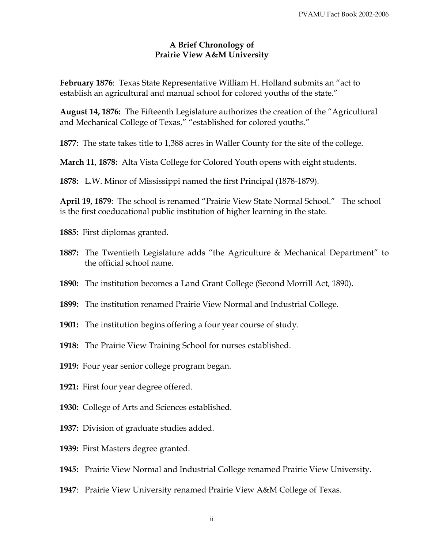## **A Brief Chronology of Prairie View A&M University**

**February 1876**: Texas State Representative William H. Holland submits an "act to establish an agricultural and manual school for colored youths of the state."

**August 14, 1876:** The Fifteenth Legislature authorizes the creation of the "Agricultural and Mechanical College of Texas," "established for colored youths."

**1877**: The state takes title to 1,388 acres in Waller County for the site of the college.

**March 11, 1878:** Alta Vista College for Colored Youth opens with eight students.

 **1878:** L.W. Minor of Mississippi named the first Principal (1878-1879).

**April 19, 1879**: The school is renamed "Prairie View State Normal School." The school is the first coeducational public institution of higher learning in the state.

**1885:** First diplomas granted.

- **1887:** The Twentieth Legislature adds "the Agriculture & Mechanical Department" to the official school name.
- **1890:** The institution becomes a Land Grant College (Second Morrill Act, 1890).
- **1899:** The institution renamed Prairie View Normal and Industrial College.
- **1901:** The institution begins offering a four year course of study.
- **1918:** The Prairie View Training School for nurses established.
- **1919:** Four year senior college program began.
- **1921:** First four year degree offered.
- **1930:** College of Arts and Sciences established.
- **1937:** Division of graduate studies added.
- **1939:** First Masters degree granted.
- **1945:** Prairie View Normal and Industrial College renamed Prairie View University.
- **1947**: Prairie View University renamed Prairie View A&M College of Texas.